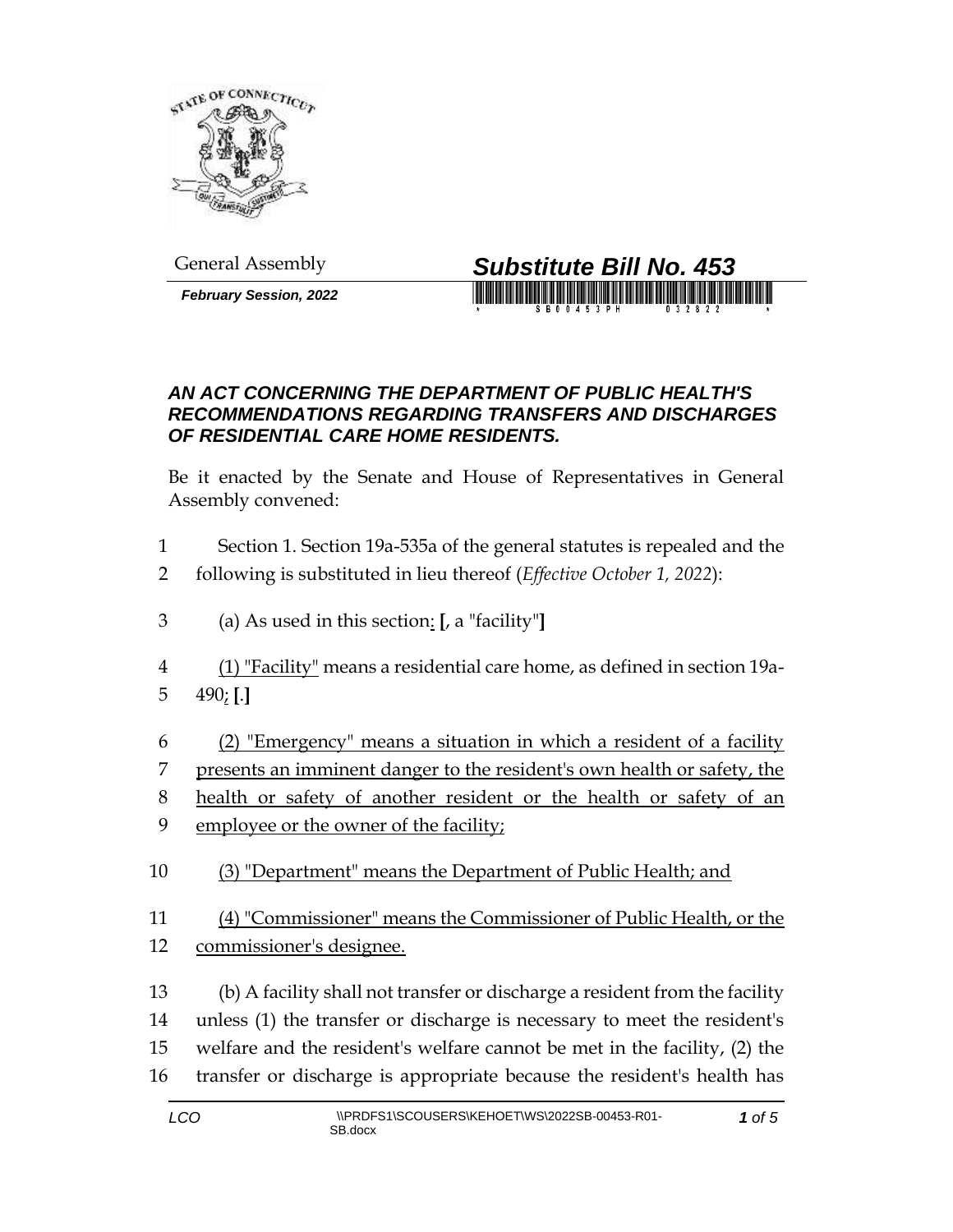

*February Session, 2022*



## *AN ACT CONCERNING THE DEPARTMENT OF PUBLIC HEALTH'S RECOMMENDATIONS REGARDING TRANSFERS AND DISCHARGES OF RESIDENTIAL CARE HOME RESIDENTS.*

Be it enacted by the Senate and House of Representatives in General Assembly convened:

- Section 1. Section 19a-535a of the general statutes is repealed and the
- following is substituted in lieu thereof (*Effective October 1, 2022*):
- (a) As used in this section: **[**, a "facility"**]**
- (1) "Facility" means a residential care home, as defined in section 19a-490; **[**.**]**
- (2) "Emergency" means a situation in which a resident of a facility

presents an imminent danger to the resident's own health or safety, the

- health or safety of another resident or the health or safety of an employee or the owner of the facility;
- (3) "Department" means the Department of Public Health; and
- (4) "Commissioner" means the Commissioner of Public Health, or the commissioner's designee.
- (b) A facility shall not transfer or discharge a resident from the facility unless (1) the transfer or discharge is necessary to meet the resident's welfare and the resident's welfare cannot be met in the facility, (2) the transfer or discharge is appropriate because the resident's health has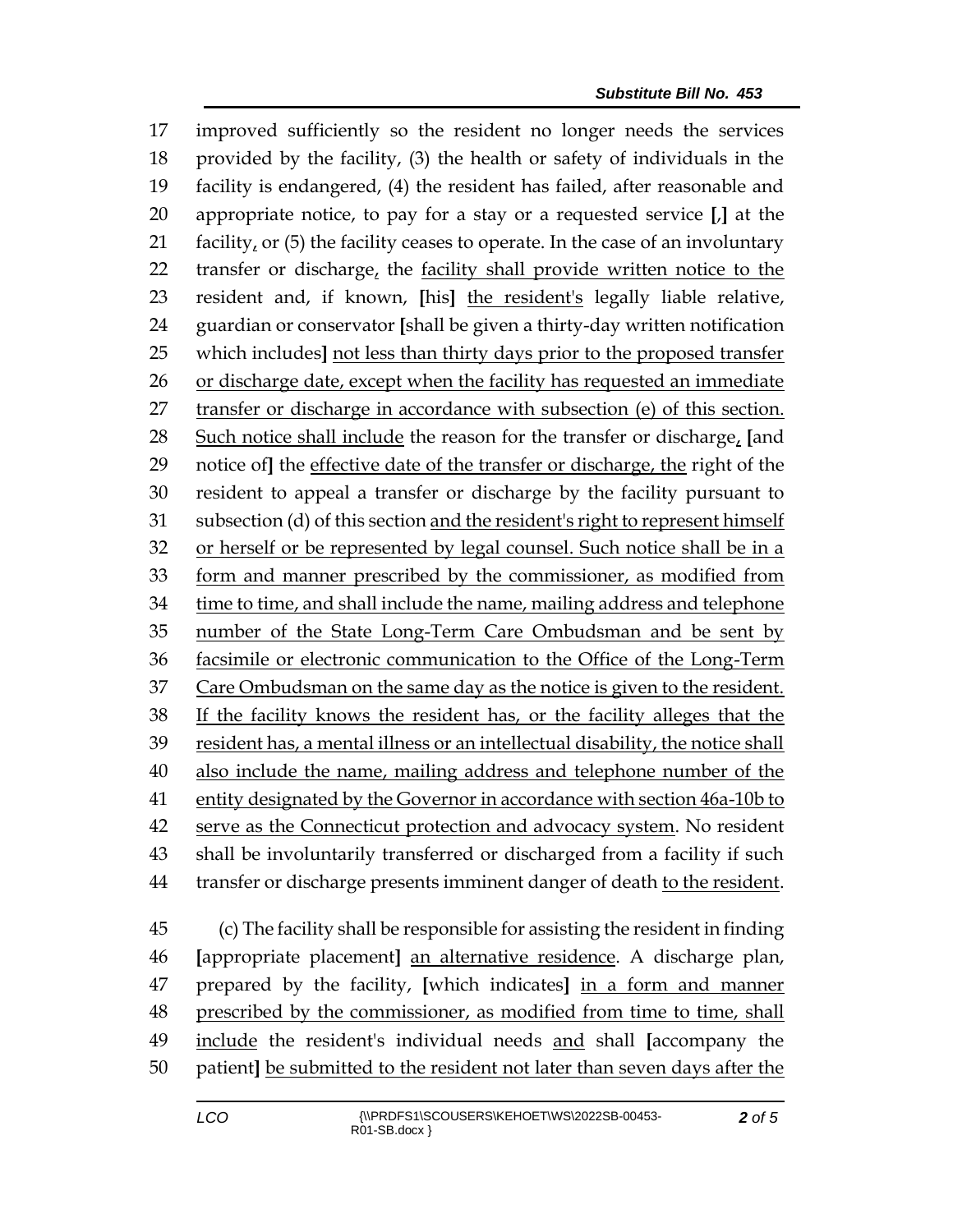improved sufficiently so the resident no longer needs the services provided by the facility, (3) the health or safety of individuals in the facility is endangered, (4) the resident has failed, after reasonable and appropriate notice, to pay for a stay or a requested service **[**,**]** at the 21 facility, or (5) the facility ceases to operate. In the case of an involuntary 22 transfer or discharge, the facility shall provide written notice to the resident and, if known, **[**his**]** the resident's legally liable relative, guardian or conservator **[**shall be given a thirty-day written notification which includes**]** not less than thirty days prior to the proposed transfer or discharge date, except when the facility has requested an immediate transfer or discharge in accordance with subsection (e) of this section. Such notice shall include the reason for the transfer or discharge, **[**and notice of**]** the effective date of the transfer or discharge, the right of the resident to appeal a transfer or discharge by the facility pursuant to subsection (d) of this section and the resident's right to represent himself or herself or be represented by legal counsel. Such notice shall be in a form and manner prescribed by the commissioner, as modified from time to time, and shall include the name, mailing address and telephone number of the State Long-Term Care Ombudsman and be sent by facsimile or electronic communication to the Office of the Long-Term Care Ombudsman on the same day as the notice is given to the resident. If the facility knows the resident has, or the facility alleges that the resident has, a mental illness or an intellectual disability, the notice shall also include the name, mailing address and telephone number of the 41 entity designated by the Governor in accordance with section 46a-10b to serve as the Connecticut protection and advocacy system. No resident shall be involuntarily transferred or discharged from a facility if such transfer or discharge presents imminent danger of death to the resident.

 (c) The facility shall be responsible for assisting the resident in finding **[**appropriate placement**]** an alternative residence. A discharge plan, prepared by the facility, **[**which indicates**]** in a form and manner prescribed by the commissioner, as modified from time to time, shall include the resident's individual needs and shall **[**accompany the patient**]** be submitted to the resident not later than seven days after the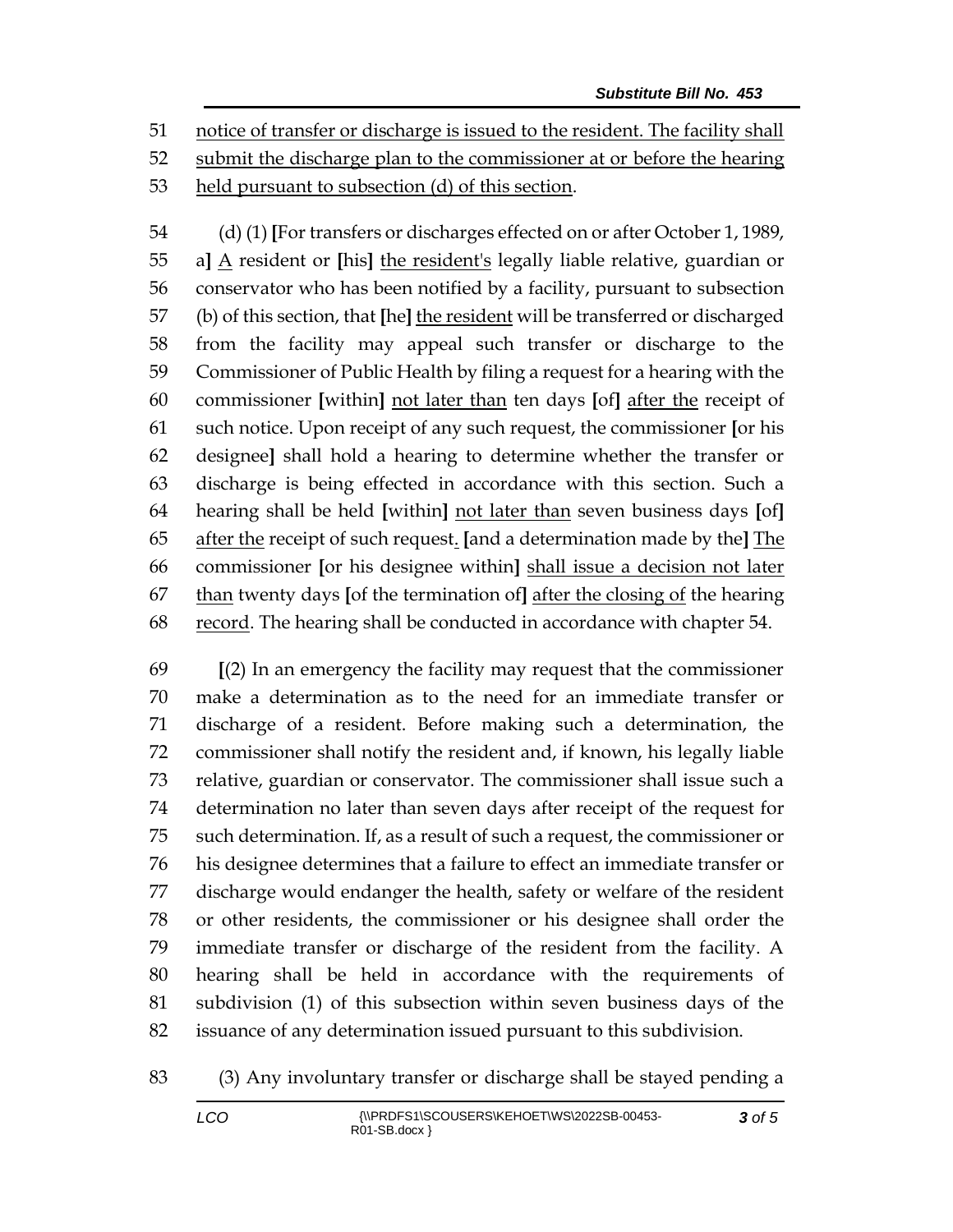notice of transfer or discharge is issued to the resident. The facility shall submit the discharge plan to the commissioner at or before the hearing

held pursuant to subsection (d) of this section.

 (d) (1) **[**For transfers or discharges effected on or after October 1, 1989, a**]** A resident or **[**his**]** the resident's legally liable relative, guardian or conservator who has been notified by a facility, pursuant to subsection (b) of this section, that **[**he**]** the resident will be transferred or discharged from the facility may appeal such transfer or discharge to the Commissioner of Public Health by filing a request for a hearing with the commissioner **[**within**]** not later than ten days **[**of**]** after the receipt of such notice. Upon receipt of any such request, the commissioner **[**or his designee**]** shall hold a hearing to determine whether the transfer or discharge is being effected in accordance with this section. Such a hearing shall be held **[**within**]** not later than seven business days **[**of**]** after the receipt of such request. **[**and a determination made by the**]** The commissioner **[**or his designee within**]** shall issue a decision not later than twenty days **[**of the termination of**]** after the closing of the hearing record. The hearing shall be conducted in accordance with chapter 54.

 **[**(2) In an emergency the facility may request that the commissioner make a determination as to the need for an immediate transfer or discharge of a resident. Before making such a determination, the commissioner shall notify the resident and, if known, his legally liable relative, guardian or conservator. The commissioner shall issue such a determination no later than seven days after receipt of the request for such determination. If, as a result of such a request, the commissioner or his designee determines that a failure to effect an immediate transfer or discharge would endanger the health, safety or welfare of the resident or other residents, the commissioner or his designee shall order the immediate transfer or discharge of the resident from the facility. A hearing shall be held in accordance with the requirements of subdivision (1) of this subsection within seven business days of the issuance of any determination issued pursuant to this subdivision.

(3) Any involuntary transfer or discharge shall be stayed pending a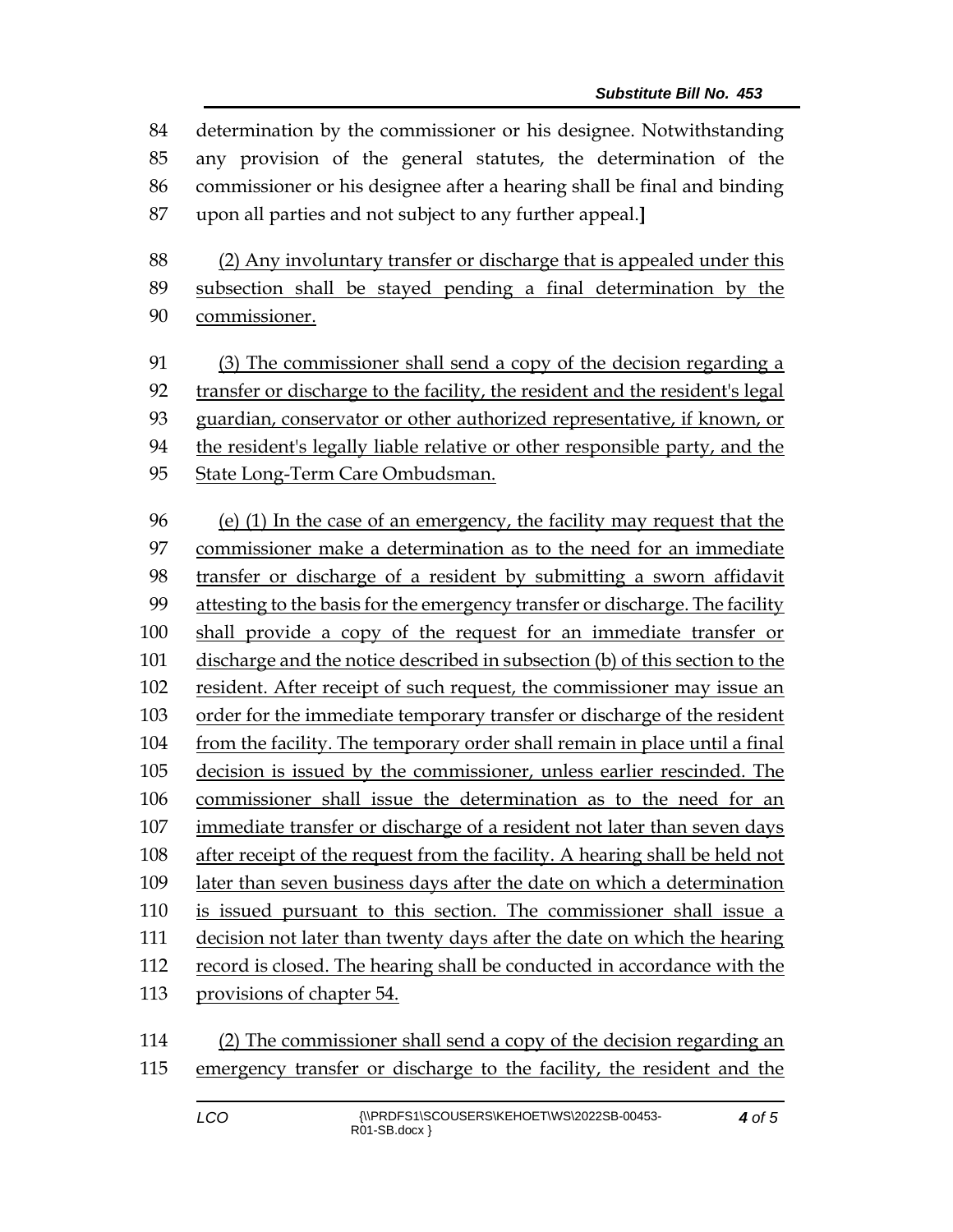determination by the commissioner or his designee. Notwithstanding any provision of the general statutes, the determination of the commissioner or his designee after a hearing shall be final and binding upon all parties and not subject to any further appeal.**]**

 (2) Any involuntary transfer or discharge that is appealed under this subsection shall be stayed pending a final determination by the commissioner.

 (3) The commissioner shall send a copy of the decision regarding a transfer or discharge to the facility, the resident and the resident's legal guardian, conservator or other authorized representative, if known, or the resident's legally liable relative or other responsible party, and the State Long-Term Care Ombudsman.

 (e) (1) In the case of an emergency, the facility may request that the commissioner make a determination as to the need for an immediate transfer or discharge of a resident by submitting a sworn affidavit attesting to the basis for the emergency transfer or discharge. The facility shall provide a copy of the request for an immediate transfer or discharge and the notice described in subsection (b) of this section to the resident. After receipt of such request, the commissioner may issue an order for the immediate temporary transfer or discharge of the resident from the facility. The temporary order shall remain in place until a final decision is issued by the commissioner, unless earlier rescinded. The commissioner shall issue the determination as to the need for an immediate transfer or discharge of a resident not later than seven days after receipt of the request from the facility. A hearing shall be held not later than seven business days after the date on which a determination is issued pursuant to this section. The commissioner shall issue a decision not later than twenty days after the date on which the hearing record is closed. The hearing shall be conducted in accordance with the provisions of chapter 54.

 (2) The commissioner shall send a copy of the decision regarding an emergency transfer or discharge to the facility, the resident and the